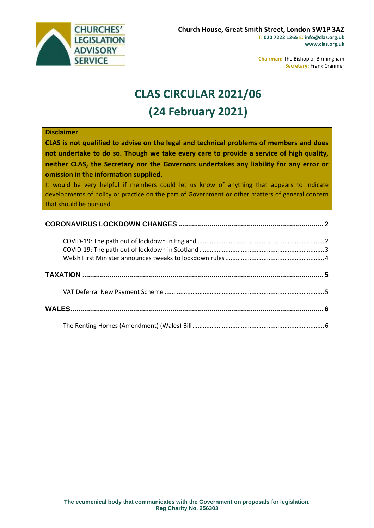

**Chairman:** The Bishop of Birmingham **Secretary:** Frank Cranmer

# **CLAS CIRCULAR 2021/06 (24 February 2021)**

#### **Disclaimer**

**CLAS is not qualified to advise on the legal and technical problems of members and does not undertake to do so. Though we take every care to provide a service of high quality, neither CLAS, the Secretary nor the Governors undertakes any liability for any error or omission in the information supplied.**

It would be very helpful if members could let us know of anything that appears to indicate developments of policy or practice on the part of Government or other matters of general concern that should be pursued.

## **CORONAVIRUS LOCKDOWN CHANGES [..........................................................................](#page-1-0) 2**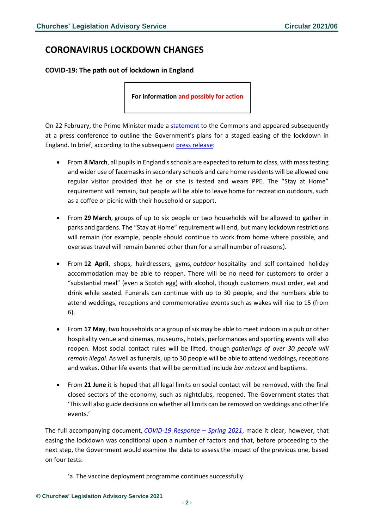## <span id="page-1-0"></span>**CORONAVIRUS LOCKDOWN CHANGES**

#### <span id="page-1-1"></span>**COVID-19: The path out of lockdown in England**

**For information and possibly for action**

On 22 February, the Prime Minister made a [statement](https://hansard.parliament.uk/commons/2021-02-22/debates/7F26D493-AF6A-46A4-A1C3-61A39DD527CE/Covid-19RoadMap) to the Commons and appeared subsequently at a press conference to outline the Government's plans for a staged easing of the lockdown in England. In brief, according to the subsequent [press release:](https://www.gov.uk/government/news/prime-minister-sets-out-roadmap-to-cautiously-ease-lockdown-restrictions)

- From **8 March**, all pupils in England's schools are expected to return to class, with mass testing and wider use of facemasks in secondary schools and care home residents will be allowed one regular visitor provided that he or she is tested and wears PPE. The "Stay at Home" requirement will remain, but people will be able to leave home for recreation outdoors, such as a coffee or picnic with their household or support.
- From **29 March**, groups of up to six people or two households will be allowed to gather in parks and gardens. The "Stay at Home" requirement will end, but many lockdown restrictions will remain (for example, people should continue to work from home where possible, and overseas travel will remain banned other than for a small number of reasons).
- From **12 April**, shops, hairdressers, gyms, *outdoor* hospitality and self-contained holiday accommodation may be able to reopen. There will be no need for customers to order a "substantial meal" (even a Scotch egg) with alcohol, though customers must order, eat and drink while seated. Funerals can continue with up to 30 people, and the numbers able to attend weddings, receptions and commemorative events such as wakes will rise to 15 (from 6).
- From **17 May**, two households or a group of six may be able to meet indoors in a pub or other hospitality venue and cinemas, museums, hotels, performances and sporting events will also reopen. Most social contact rules will be lifted, though *gatherings of over 30 people will remain illegal*. As well as funerals, up to 30 people will be able to attend weddings, receptions and wakes. Other life events that will be permitted include *bar mitzvot* and baptisms.
- From **21 June** it is hoped that all legal limits on social contact will be removed, with the final closed sectors of the economy, such as nightclubs, reopened. The Government states that 'This will also guide decisions on whether all limits can be removed on weddings and other life events.'

The full accompanying document, *[COVID-19 Response](https://assets.publishing.service.gov.uk/government/uploads/system/uploads/attachment_data/file/963491/COVID-19_Response_-_Spring_2021.pdf) – Spring 2021*, made it clear, however, that easing the lockdown was conditional upon a number of factors and that, before proceeding to the next step, the Government would examine the data to assess the impact of the previous one, based on four tests:

'a. The vaccine deployment programme continues successfully.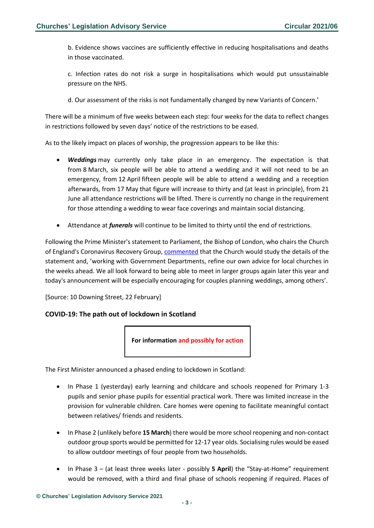b. Evidence shows vaccines are sufficiently effective in reducing hospitalisations and deaths in those vaccinated.

c. Infection rates do not risk a surge in hospitalisations which would put unsustainable pressure on the NHS.

d. Our assessment of the risks is not fundamentally changed by new Variants of Concern.'

There will be a minimum of five weeks between each step: four weeks for the data to reflect changes in restrictions followed by seven days' notice of the restrictions to be eased.

As to the likely impact on places of worship, the progression appears to be like this:

- *Weddings* may currently only take place in an emergency. The expectation is that from 8 March, six people will be able to attend a wedding and it will not need to be an emergency, from 12 April fifteen people will be able to attend a wedding and a reception afterwards, from 17 May that figure will increase to thirty and (at least in principle), from 21 June all attendance restrictions will be lifted. There is currently no change in the requirement for those attending a wedding to wear face coverings and maintain social distancing.
- Attendance at *funerals* will continue to be limited to thirty until the end of restrictions.

Following the Prime Minister's statement to Parliament, the Bishop of London, who chairs the Church of England's Coronavirus Recovery Group, [commented](https://www.churchofengland.org/news-and-media/coronavirus-reopening-roadmap-comment-bishop-london) that the Church would study the details of the statement and, 'working with Government Departments, refine our own advice for local churches in the weeks ahead. We all look forward to being able to meet in larger groups again later this year and today's announcement will be especially encouraging for couples planning weddings, among others'.

[Source: 10 Downing Street, 22 February]

#### <span id="page-2-0"></span>**COVID-19: The path out of lockdown in Scotland**



The First Minister announced a phased ending to lockdown in Scotland:

- In Phase 1 (yesterday) early learning and childcare and schools reopened for Primary 1-3 pupils and senior phase pupils for essential practical work. There was limited increase in the provision for vulnerable children. Care homes were opening to facilitate meaningful contact between relatives/ friends and residents.
- In Phase 2 (unlikely before **15 March**) there would be more school reopening and non-contact outdoor group sports would be permitted for 12-17 year olds. Socialising rules would be eased to allow outdoor meetings of four people from two households.
- In Phase 3 (at least three weeks later possibly **5 April**) the "Stay-at-Home" requirement would be removed, with a third and final phase of schools reopening if required. Places of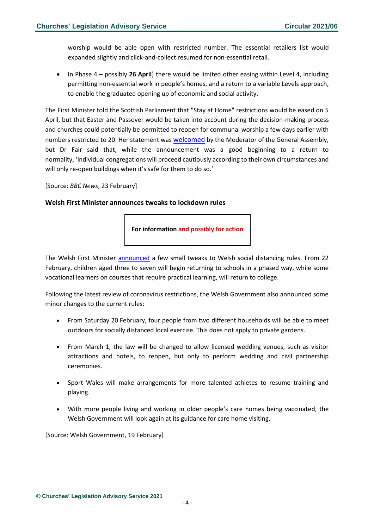worship would be able open with restricted number. The essential retailers list would expanded slightly and click-and-collect resumed for non-essential retail.

• In Phase 4 – possibly **26 April**) there would be limited other easing within Level 4, including permitting non-essential work in people's homes, and a return to a variable Levels approach, to enable the graduated opening up of economic and social activity.

The First Minister told the Scottish Parliament that "Stay at Home" restrictions would be eased on 5 April, but that Easter and Passover would be taken into account during the decision-making process and churches could potentially be permitted to reopen for communal worship a few days earlier with numbers restricted to 20. Her statement was [welcomed](https://churchofscotland.org.uk/news-and-events/news/2021/Reaction-to-timetable-on-re-opening-places-of-worship-with-restricted-numbers) by the Moderator of the General Assembly, but Dr Fair said that, while the announcement was a good beginning to a return to normality, 'individual congregations will proceed cautiously according to their own circumstances and will only re-open buildings when it's safe for them to do so.'

[Source: *BBC News*, 23 February]

#### <span id="page-3-0"></span>**Welsh First Minister announces tweaks to lockdown rules**

**For information and possibly for action**

The Welsh First Minister [announced](https://gov.wales/lockdown-continue-further-three-weeks-pupils-return-school) a few small tweaks to Welsh social distancing rules. From 22 February, children aged three to seven will begin returning to schools in a phased way, while some vocational learners on courses that require practical learning, will return to college.

Following the latest review of coronavirus restrictions, the Welsh Government also announced some minor changes to the current rules:

- From Saturday 20 February, four people from two different households will be able to meet outdoors for socially distanced local exercise. This does not apply to private gardens.
- From March 1, the law will be changed to allow licensed wedding venues, such as visitor attractions and hotels, to reopen, but only to perform wedding and civil partnership ceremonies.
- Sport Wales will make arrangements for more talented athletes to resume training and playing.
- With more people living and working in older people's care homes being vaccinated, the Welsh Government will look again at its guidance for care home visiting.

[Source: Welsh Government, 19 February]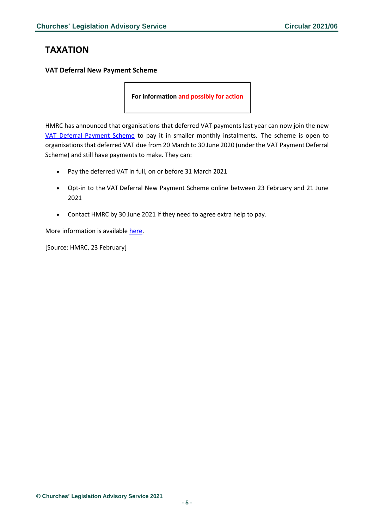## <span id="page-4-0"></span>**TAXATION**

<span id="page-4-1"></span>**VAT Deferral New Payment Scheme**

**For information and possibly for action**

HMRC has announced that organisations that deferred VAT payments last year can now join the new [VAT Deferral Payment Scheme](https://www.gov.uk/guidance/deferral-of-vat-payments-due-to-coronavirus-covid-19) to pay it in smaller monthly instalments. The scheme is open to organisationsthat deferred VAT due from 20 March to 30 June 2020 (under the VAT Payment Deferral Scheme) and still have payments to make. They can:

- Pay the deferred VAT in full, on or before 31 March 2021
- Opt-in to the VAT Deferral New Payment Scheme online between 23 February and 21 June 2021
- Contact HMRC by 30 June 2021 if they need to agree extra help to pay.

More information is available [here.](https://www.gov.uk/government/news/vat-deferral-new-payment-scheme-online-service-opens?utm_medium=email&utm_campaign=govuk-notifications&utm_source=a650df6e-817f-403a-a35f-c66b74cfd988&utm_content=daily)

[Source: HMRC, 23 February]